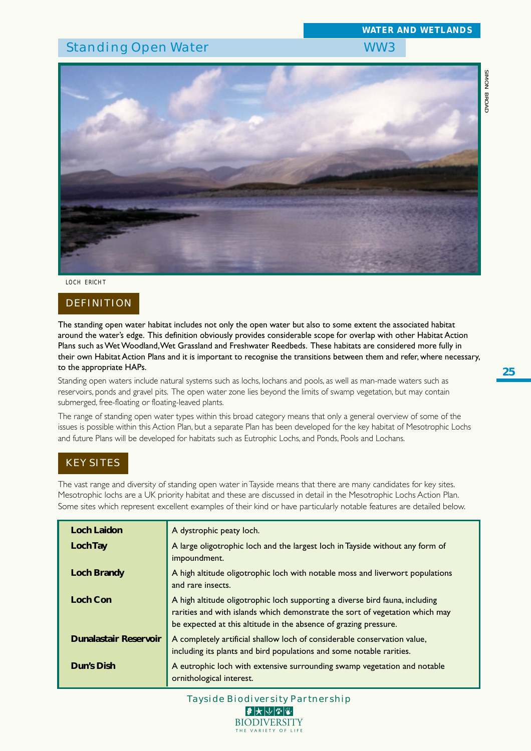# Standing Open Water New York 2012 1999 WW3



*LOCH ERICHT*

# DEFINITION

The standing open water habitat includes not only the open water but also to some extent the associated habitat around the water's edge. This definition obviously provides considerable scope for overlap with other Habitat Action Plans such as Wet Woodland, Wet Grassland and Freshwater Reedbeds. These habitats are considered more fully in their own Habitat Action Plans and it is important to recognise the transitions between them and refer, where necessary, to the appropriate HAPs.

Standing open waters include natural systems such as lochs, lochans and pools, as well as man-made waters such as reservoirs, ponds and gravel pits. The open water zone lies beyond the limits of swamp vegetation, but may contain submerged, free-floating or floating-leaved plants.

The range of standing open water types within this broad category means that only a general overview of some of the issues is possible within this Action Plan, but a separate Plan has been developed for the key habitat of Mesotrophic Lochs and future Plans will be developed for habitats such as Eutrophic Lochs, and Ponds, Pools and Lochans.

# KEY SITES

The vast range and diversity of standing open water in Tayside means that there are many candidates for key sites. Mesotrophic lochs are a UK priority habitat and these are discussed in detail in the Mesotrophic Lochs Action Plan. Some sites which represent excellent examples of their kind or have particularly notable features are detailed below.

| <b>Loch Laidon</b>           | A dystrophic peaty loch.                                                                                                                                                                                                         |
|------------------------------|----------------------------------------------------------------------------------------------------------------------------------------------------------------------------------------------------------------------------------|
| Loch Tay                     | A large oligotrophic loch and the largest loch in Tayside without any form of<br>impoundment.                                                                                                                                    |
| <b>Loch Brandy</b>           | A high altitude oligotrophic loch with notable moss and liverwort populations<br>and rare insects.                                                                                                                               |
| <b>Loch Con</b>              | A high altitude oligotrophic loch supporting a diverse bird fauna, including<br>rarities and with islands which demonstrate the sort of vegetation which may<br>be expected at this altitude in the absence of grazing pressure. |
| <b>Dunalastair Reservoir</b> | A completely artificial shallow loch of considerable conservation value,<br>including its plants and bird populations and some notable rarities.                                                                                 |
| Dun's Dish                   | A eutrophic loch with extensive surrounding swamp vegetation and notable<br>ornithological interest.                                                                                                                             |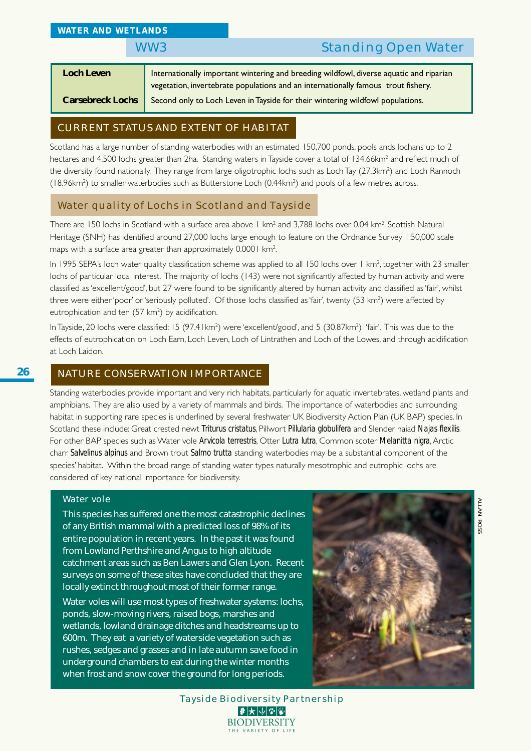# WW3 Standing Open Water

| <b>Loch Leven</b>       | Internationally important wintering and breeding wildfowl, diverse aquatic and riparian<br>vegetation, invertebrate populations and an internationally famous trout fishery. |
|-------------------------|------------------------------------------------------------------------------------------------------------------------------------------------------------------------------|
| <b>Carsebreck Lochs</b> | Second only to Loch Leven in Tayside for their wintering wildfowl populations.                                                                                               |

# CURRENT STATUS AND EXTENT OF HABITAT

Scotland has a large number of standing waterbodies with an estimated 150,700 ponds, pools ands lochans up to 2 hectares and 4,500 lochs greater than 2ha. Standing waters inTayside cover a total of 134.66km² and reflect much of the diversity found nationally. They range from large oligotrophic lochs such as Loch Tay (27.3km²) and Loch Rannoch (18.96km<sup>2</sup>) to smaller waterbodies such as Butterstone Loch (0.44km<sup>2</sup>) and pools of a few metres across.

# Water quality of Lochs in Scotland and Tayside

There are 150 lochs in Scotland with a surface area above 1 km² and 3,788 lochs over 0.04 km². Scottish Natural Heritage (SNH) has identified around 27,000 lochs large enough to feature on the Ordnance Survey 1:50,000 scale maps with a surface area greater than approximately 0.0001 km<sup>2</sup>. .

In 1995 SEPA's loch water quality classification scheme was applied to all 150 lochs over 1 km<sup>2</sup>, together with 23 smaller lochs of particular local interest. The majority of lochs (143) were not significantly affected by human activity and were classified as 'excellent/good', but 27 were found to be significantly altered by human activity and classified as 'fair', whilst three were either 'poor' or 'seriously polluted'. Of those lochs classified as 'fair', twenty (53 km²) were affected by eutrophication and ten (57 km<sup>2</sup>) by acidification.

In Tayside, 20 lochs were classified: 15 (97.41km²) were 'excellent/good', and 5 (30.87km²) 'fair'. This was due to the effects of eutrophication on Loch Earn, Loch Leven, Loch of Lintrathen and Loch of the Lowes, and through acidification at Loch Laidon.

# NATURE CONSERVATION IMPORTANCE

Standing waterbodies provide important and very rich habitats, particularly for aquatic invertebrates, wetland plants and amphibians. They are also used by a variety of mammals and birds. The importance of waterbodies and surrounding habitat in supporting rare species is underlined by several freshwater UK Biodiversity Action Plan (UK BAP) species. In Scotland these include: Great crested newt *Triturus cristatus*, Pillwort *Pillularia globulifera* and Slender naiad *Najas flexilis*. For other BAP species such as Water vole *Arvicola terrestris*, Otter *Lutra lutra*, Common scoter *Melanitta nigra*, Arctic charr *Salvelinus alpinus* and Brown trout *Salmo trutta* standing waterbodies may be a substantial component of the species' habitat. Within the broad range of standing water types naturally mesotrophic and eutrophic lochs are considered of key national importance for biodiversity.

#### Water vole

This species has suffered one the most catastrophic declines of any British mammal with a predicted loss of 98% of its entire population in recent years. In the past it was found from Lowland Perthshire and Angus to high altitude catchment areas such as Ben Lawers and Glen Lyon. Recent surveys on some of these sites have concluded that they are locally extinct throughout most of their former range.

Water voles will use most types of freshwater systems: lochs, ponds, slow-moving rivers, raised bogs, marshes and wetlands, lowland drainage ditches and headstreams up to 600m. They eat a variety of waterside vegetation such as rushes, sedges and grasses and in late autumn save food in underground chambers to eat during the winter months when frost and snow cover the ground for long periods.



Tayside Biodiversity Partnership  $|\bm{\vartheta}|$ 大 $|\psi|$ ଆ $|\bm{\psi}|$ **BIODIVERSITY** THE VARIETY OF LI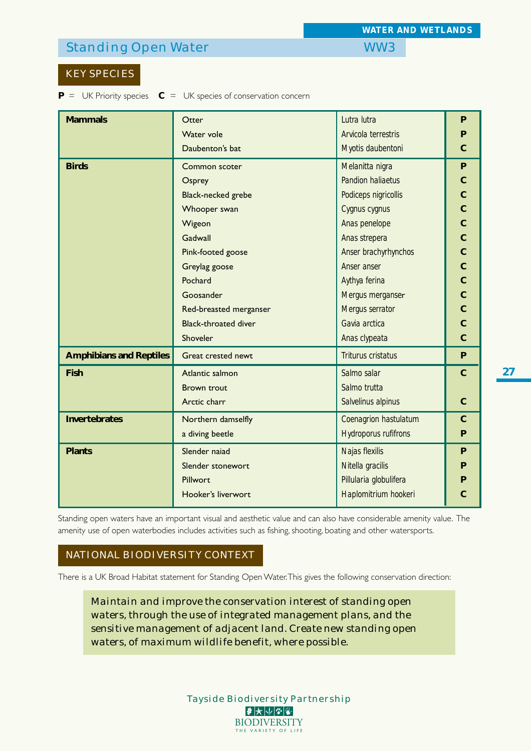# Standing Open Water New York 2012 1999 WW3

# KEY SPECIES

**P** = UK Priority species **C** = UK species of conservation concern

| <b>Mammals</b>                 | Otter                       | Lutra lutra                 | P              |  |  |  |  |
|--------------------------------|-----------------------------|-----------------------------|----------------|--|--|--|--|
|                                | Water vole                  | Arvicola terrestris         | P              |  |  |  |  |
|                                | Daubenton's bat             | Myotis daubentoni           |                |  |  |  |  |
| <b>Birds</b>                   | Common scoter               | Melanitta nigra             | P              |  |  |  |  |
|                                | Osprey                      | <b>Pandion haliaetus</b>    | $\mathbf C$    |  |  |  |  |
|                                | Black-necked grebe          | Podiceps nigricollis        | $\overline{C}$ |  |  |  |  |
|                                | Whooper swan                | Cygnus cygnus               | $\overline{C}$ |  |  |  |  |
|                                | Wigeon                      | Anas penelope               | $\overline{C}$ |  |  |  |  |
|                                | Gadwall                     | Anas strepera               | $\overline{C}$ |  |  |  |  |
|                                | Pink-footed goose           | Anser brachyrhynchos        | $\overline{C}$ |  |  |  |  |
|                                | Greylag goose               | Anser anser                 | $\overline{C}$ |  |  |  |  |
|                                | Pochard                     | Aythya ferina               | $\overline{C}$ |  |  |  |  |
|                                | Goosander                   | Mergus merganser            | $\mathbf C$    |  |  |  |  |
|                                | Red-breasted merganser      | Mergus serrator             | $\overline{C}$ |  |  |  |  |
|                                | <b>Black-throated diver</b> | Gavia arctica               | $\overline{C}$ |  |  |  |  |
|                                | Shoveler                    | Anas clypeata               | $\overline{C}$ |  |  |  |  |
| <b>Amphibians and Reptiles</b> | Great crested newt          | <b>Triturus cristatus</b>   | P              |  |  |  |  |
| <b>Fish</b>                    | Atlantic salmon             | Salmo salar                 | $\mathbf C$    |  |  |  |  |
|                                | <b>Brown trout</b>          | Salmo trutta                |                |  |  |  |  |
|                                | Arctic charr                | Salvelinus alpinus          | $\mathsf{C}$   |  |  |  |  |
| <b>Invertebrates</b>           | Northern damselfly          | Coenagrion hastulatum       | $\mathbf C$    |  |  |  |  |
|                                | a diving beetle             | <b>Hydroporus rufifrons</b> | P              |  |  |  |  |
| <b>Plants</b>                  | Slender naiad               | Najas flexilis              | P              |  |  |  |  |
|                                | Slender stonewort           | Nitella gracilis            | P              |  |  |  |  |
|                                | Pillwort                    | Pillularia globulifera      | P              |  |  |  |  |
|                                | Hooker's liverwort          | Haplomitrium hookeri        | С              |  |  |  |  |
|                                |                             |                             |                |  |  |  |  |

Standing open waters have an important visual and aesthetic value and can also have considerable amenity value. The amenity use of open waterbodies includes activities such as fishing, shooting, boating and other watersports.

## NATIONAL BIODIVERSITY CONTEXT

There is a UK Broad Habitat statement for Standing Open Water. This gives the following conservation direction:

*Maintain and improve the conservation interest of standing open waters, through the use of integrated management plans, and the sensitive management of adjacent land. Create new standing open waters, of maximum wildlife benefit, where possible.*

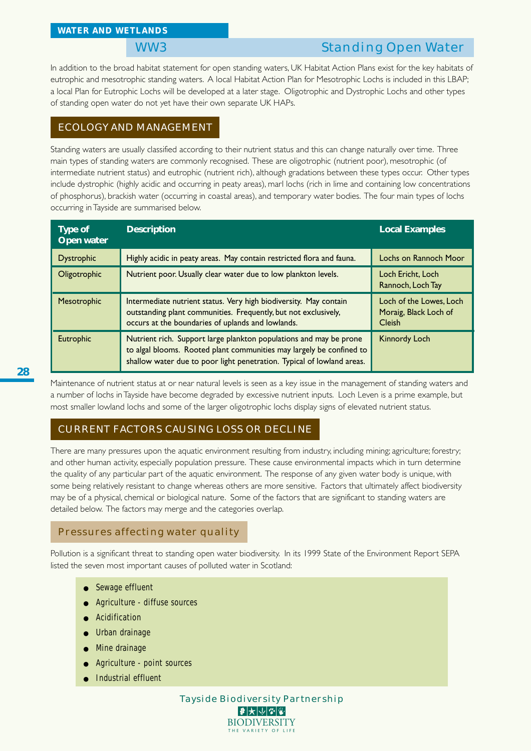# WW3 Standing Open Water

In addition to the broad habitat statement for open standing waters, UK Habitat Action Plans exist for the key habitats of eutrophic and mesotrophic standing waters. A local Habitat Action Plan for Mesotrophic Lochs is included in this LBAP; a local Plan for Eutrophic Lochs will be developed at a later stage. Oligotrophic and Dystrophic Lochs and other types of standing open water do not yet have their own separate UK HAPs.

# ECOLOGY AND MANAGEMENT

Standing waters are usually classified according to their nutrient status and this can change naturally over time. Three main types of standing waters are commonly recognised. These are oligotrophic (nutrient poor), mesotrophic (of intermediate nutrient status) and eutrophic (nutrient rich), although gradations between these types occur. Other types include dystrophic (highly acidic and occurring in peaty areas), marl lochs (rich in lime and containing low concentrations of phosphorus), brackish water (occurring in coastal areas), and temporary water bodies. The four main types of lochs occurring in Tayside are summarised below.

| Type of<br>Open water | <b>Description</b>                                                                                                                                                                                                   | <b>Local Examples</b>                                             |
|-----------------------|----------------------------------------------------------------------------------------------------------------------------------------------------------------------------------------------------------------------|-------------------------------------------------------------------|
| <b>Dystrophic</b>     | Highly acidic in peaty areas. May contain restricted flora and fauna.                                                                                                                                                | Lochs on Rannoch Moor                                             |
| Oligotrophic          | Nutrient poor. Usually clear water due to low plankton levels.                                                                                                                                                       | Loch Ericht, Loch<br>Rannoch, Loch Tay                            |
| Mesotrophic           | Intermediate nutrient status. Very high biodiversity. May contain<br>outstanding plant communities. Frequently, but not exclusively,<br>occurs at the boundaries of uplands and lowlands.                            | Loch of the Lowes, Loch<br>Moraig, Black Loch of<br><b>Cleish</b> |
| <b>Eutrophic</b>      | Nutrient rich. Support large plankton populations and may be prone<br>to algal blooms. Rooted plant communities may largely be confined to<br>shallow water due to poor light penetration. Typical of lowland areas. | <b>Kinnordy Loch</b>                                              |

Maintenance of nutrient status at or near natural levels is seen as a key issue in the management of standing waters and a number of lochs in Tayside have become degraded by excessive nutrient inputs. Loch Leven is a prime example, but most smaller lowland lochs and some of the larger oligotrophic lochs display signs of elevated nutrient status.

# CURRENT FACTORS CAUSING LOSS OR DECLINE

There are many pressures upon the aquatic environment resulting from industry, including mining; agriculture; forestry; and other human activity, especially population pressure. These cause environmental impacts which in turn determine the quality of any particular part of the aquatic environment. The response of any given water body is unique, with some being relatively resistant to change whereas others are more sensitive. Factors that ultimately affect biodiversity may be of a physical, chemical or biological nature. Some of the factors that are significant to standing waters are detailed below. The factors may merge and the categories overlap.

# Pressures affecting water quality

Pollution is a significant threat to standing open water biodiversity. In its 1999 State of the Environment Report SEPA listed the seven most important causes of polluted water in Scotland:

- **Sewage effluent**
- Agriculture diffuse sources
- Acidification
- Urban drainage
- Mine drainage
- Agriculture point sources
- **Industrial effluent**

Tayside Biodiversity Partnership |₽ ★ ↓ ↓ ↓ ↓ ↓ **BIODIVERSITY** THE VARIETY OF LI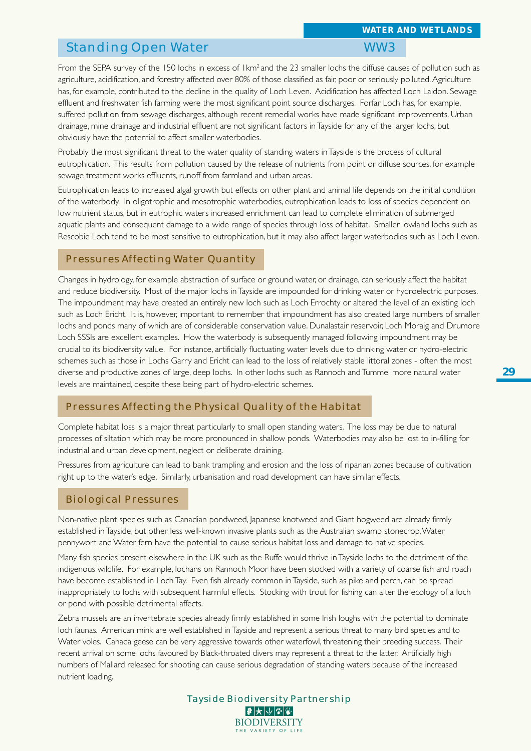# Standing Open Water New York 2012 1999 WW3

From the SEPA survey of the 150 lochs in excess of  $1km^2$  and the 23 smaller lochs the diffuse causes of pollution such as agriculture, acidification, and forestry affected over 80% of those classified as fair, poor or seriously polluted. Agriculture has, for example, contributed to the decline in the quality of Loch Leven. Acidification has affected Loch Laidon. Sewage effluent and freshwater fish farming were the most significant point source discharges. Forfar Loch has, for example, suffered pollution from sewage discharges, although recent remedial works have made significant improvements. Urban drainage, mine drainage and industrial effluent are not significant factors in Tayside for any of the larger lochs, but obviously have the potential to affect smaller waterbodies.

Probably the most significant threat to the water quality of standing waters in Tayside is the process of cultural eutrophication. This results from pollution caused by the release of nutrients from point or diffuse sources, for example sewage treatment works effluents, runoff from farmland and urban areas.

Eutrophication leads to increased algal growth but effects on other plant and animal life depends on the initial condition of the waterbody. In oligotrophic and mesotrophic waterbodies, eutrophication leads to loss of species dependent on low nutrient status, but in eutrophic waters increased enrichment can lead to complete elimination of submerged aquatic plants and consequent damage to a wide range of species through loss of habitat. Smaller lowland lochs such as Rescobie Loch tend to be most sensitive to eutrophication, but it may also affect larger waterbodies such as Loch Leven.

## Pressures Affecting Water Quantity

Changes in hydrology, for example abstraction of surface or ground water, or drainage, can seriously affect the habitat and reduce biodiversity. Most of the major lochs in Tayside are impounded for drinking water or hydroelectric purposes. The impoundment may have created an entirely new loch such as Loch Errochty or altered the level of an existing loch such as Loch Ericht. It is, however, important to remember that impoundment has also created large numbers of smaller lochs and ponds many of which are of considerable conservation value. Dunalastair reservoir, Loch Moraig and Drumore Loch SSSIs are excellent examples. How the waterbody is subsequently managed following impoundment may be crucial to its biodiversity value. For instance, artificially fluctuating water levels due to drinking water or hydro-electric schemes such as those in Lochs Garry and Ericht can lead to the loss of relatively stable littoral zones - often the most diverse and productive zones of large, deep lochs. In other lochs such as Rannoch and Tummel more natural water levels are maintained, despite these being part of hydro-electric schemes.

## Pressures Affecting the Physical Quality of the Habitat

Complete habitat loss is a major threat particularly to small open standing waters. The loss may be due to natural processes of siltation which may be more pronounced in shallow ponds. Waterbodies may also be lost to in-filling for industrial and urban development, neglect or deliberate draining.

Pressures from agriculture can lead to bank trampling and erosion and the loss of riparian zones because of cultivation right up to the water's edge. Similarly, urbanisation and road development can have similar effects.

## Biological Pressures

Non-native plant species such as Canadian pondweed, Japanese knotweed and Giant hogweed are already firmly established in Tayside, but other less well-known invasive plants such as the Australian swamp stonecrop, Water pennywort and Water fern have the potential to cause serious habitat loss and damage to native species.

Many fish species present elsewhere in the UK such as the Ruffe would thrive in Tayside lochs to the detriment of the indigenous wildlife. For example, lochans on Rannoch Moor have been stocked with a variety of coarse fish and roach have become established in Loch Tay. Even fish already common in Tayside, such as pike and perch, can be spread inappropriately to lochs with subsequent harmful effects. Stocking with trout for fishing can alter the ecology of a loch or pond with possible detrimental affects.

Zebra mussels are an invertebrate species already firmly established in some Irish loughs with the potential to dominate loch faunas. American mink are well established in Tayside and represent a serious threat to many bird species and to Water voles. Canada geese can be very aggressive towards other waterfowl, threatening their breeding success. Their recent arrival on some lochs favoured by Black-throated divers may represent a threat to the latter. Artificially high numbers of Mallard released for shooting can cause serious degradation of standing waters because of the increased nutrient loading.

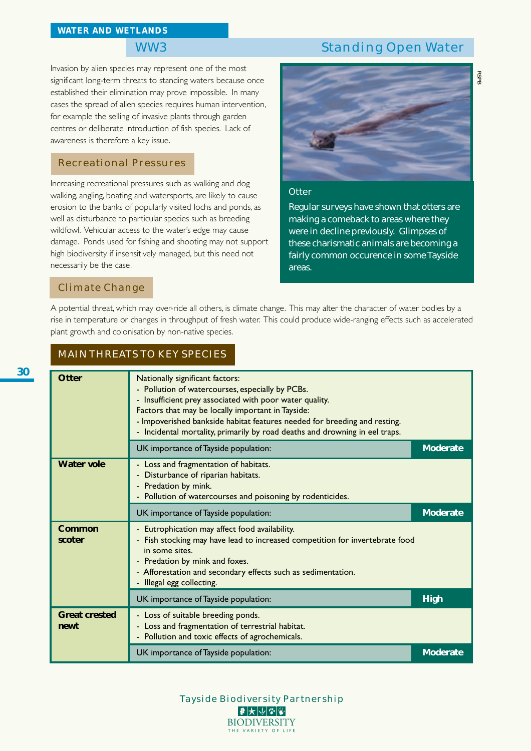# WW3 Standing Open Water

*RSPB*

Invasion by alien species may represent one of the most significant long-term threats to standing waters because once established their elimination may prove impossible. In many cases the spread of alien species requires human intervention, for example the selling of invasive plants through garden centres or deliberate introduction of fish species. Lack of awareness is therefore a key issue.

# Recreational Pressures

Increasing recreational pressures such as walking and dog walking, angling, boating and watersports, are likely to cause erosion to the banks of popularly visited lochs and ponds, as well as disturbance to particular species such as breeding wildfowl. Vehicular access to the water's edge may cause damage. Ponds used for fishing and shooting may not support high biodiversity if insensitively managed, but this need not necessarily be the case.



#### **Otter**

Regular surveys have shown that otters are making a comeback to areas where they were in decline previously. Glimpses of these charismatic animals are becoming a fairly common occurence in some Tayside areas.

## Climate Change

A potential threat, which may over-ride all others, is climate change. This may alter the character of water bodies by a rise in temperature or changes in throughput of fresh water. This could produce wide-ranging effects such as accelerated plant growth and colonisation by non-native species.

### MAIN THREATS TO KEY SPECIES

| Otter                        | Nationally significant factors:<br>- Pollution of watercourses, especially by PCBs.<br>- Insufficient prey associated with poor water quality.<br>Factors that may be locally important in Tayside:<br>- Impoverished bankside habitat features needed for breeding and resting.<br>- Incidental mortality, primarily by road deaths and drowning in eel traps. |                 |
|------------------------------|-----------------------------------------------------------------------------------------------------------------------------------------------------------------------------------------------------------------------------------------------------------------------------------------------------------------------------------------------------------------|-----------------|
|                              | UK importance of Tayside population:                                                                                                                                                                                                                                                                                                                            | <b>Moderate</b> |
| <b>Water vole</b>            | - Loss and fragmentation of habitats.<br>- Disturbance of riparian habitats.<br>- Predation by mink.<br>- Pollution of watercourses and poisoning by rodenticides.                                                                                                                                                                                              |                 |
|                              | UK importance of Tayside population:                                                                                                                                                                                                                                                                                                                            | <b>Moderate</b> |
| Common<br>scoter             | - Eutrophication may affect food availability.<br>- Fish stocking may have lead to increased competition for invertebrate food<br>in some sites.<br>- Predation by mink and foxes.<br>- Afforestation and secondary effects such as sedimentation.<br>Illegal egg collecting.                                                                                   |                 |
|                              | UK importance of Tayside population:                                                                                                                                                                                                                                                                                                                            | <b>High</b>     |
| <b>Great crested</b><br>newt | - Loss of suitable breeding ponds.<br>- Loss and fragmentation of terrestrial habitat.<br>- Pollution and toxic effects of agrochemicals.                                                                                                                                                                                                                       |                 |
|                              | UK importance of Tayside population:                                                                                                                                                                                                                                                                                                                            | <b>Moderate</b> |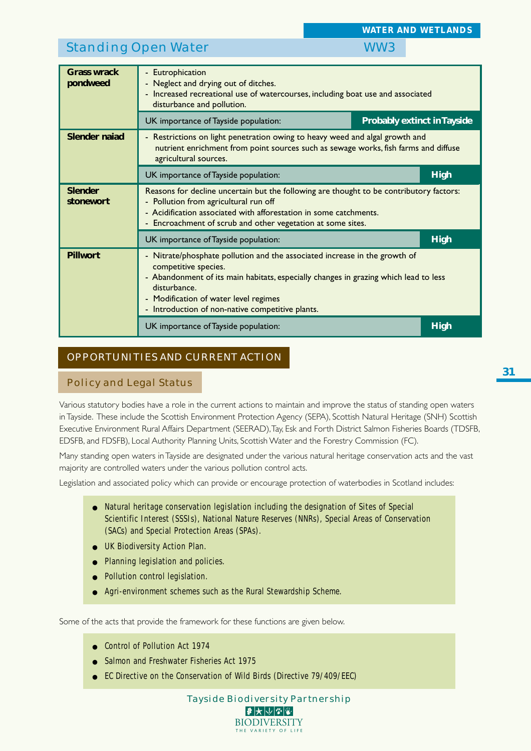# Standing Open Water WW3

| <b>Grass wrack</b><br>pondweed | - Eutrophication<br>- Neglect and drying out of ditches.<br>- Increased recreational use of watercourses, including boat use and associated<br>disturbance and pollution.                                                                                                                               |                                    |             |  |  |  |  |  |  |  |
|--------------------------------|---------------------------------------------------------------------------------------------------------------------------------------------------------------------------------------------------------------------------------------------------------------------------------------------------------|------------------------------------|-------------|--|--|--|--|--|--|--|
|                                | UK importance of Tayside population:                                                                                                                                                                                                                                                                    | <b>Probably extinct in Tayside</b> |             |  |  |  |  |  |  |  |
| <b>Slender naiad</b>           | - Restrictions on light penetration owing to heavy weed and algal growth and<br>nutrient enrichment from point sources such as sewage works, fish farms and diffuse<br>agricultural sources.                                                                                                            |                                    |             |  |  |  |  |  |  |  |
|                                | <b>High</b><br>UK importance of Tayside population:                                                                                                                                                                                                                                                     |                                    |             |  |  |  |  |  |  |  |
| <b>Slender</b><br>stonewort    | Reasons for decline uncertain but the following are thought to be contributory factors:<br>- Pollution from agricultural run off<br>- Acidification associated with afforestation in some catchments.<br>- Encroachment of scrub and other vegetation at some sites.                                    |                                    |             |  |  |  |  |  |  |  |
|                                | UK importance of Tayside population:                                                                                                                                                                                                                                                                    |                                    | <b>High</b> |  |  |  |  |  |  |  |
| <b>Pillwort</b>                | - Nitrate/phosphate pollution and the associated increase in the growth of<br>competitive species.<br>- Abandonment of its main habitats, especially changes in grazing which lead to less<br>disturbance.<br>- Modification of water level regimes<br>- Introduction of non-native competitive plants. |                                    |             |  |  |  |  |  |  |  |
|                                | UK importance of Tayside population:                                                                                                                                                                                                                                                                    |                                    | <b>High</b> |  |  |  |  |  |  |  |

# OPPORTUNITIES AND CURRENT ACTION

## Policy and Legal Status

Various statutory bodies have a role in the current actions to maintain and improve the status of standing open waters in Tayside. These include the Scottish Environment Protection Agency (SEPA), Scottish Natural Heritage (SNH) Scottish Executive Environment Rural Affairs Department (SEERAD), Tay, Esk and Forth District Salmon Fisheries Boards (TDSFB, EDSFB, and FDSFB), Local Authority Planning Units, Scottish Water and the Forestry Commission (FC).

Many standing open waters in Tayside are designated under the various natural heritage conservation acts and the vast majority are controlled waters under the various pollution control acts.

Legislation and associated policy which can provide or encourage protection of waterbodies in Scotland includes:

- Natural heritage conservation legislation including the designation of Sites of Special Scientific Interest (SSSIs), National Nature Reserves (NNRs), Special Areas of Conservation (SACs) and Special Protection Areas (SPAs).
- UK Biodiversity Action Plan.
- Planning legislation and policies.
- Pollution control legislation.
- Agri-environment schemes such as the Rural Stewardship Scheme.

Some of the acts that provide the framework for these functions are given below.

- Control of Pollution Act 1974
- Salmon and Freshwater Fisheries Act 1975
- EC Directive on the Conservation of Wild Birds (Directive 79/409/EEC)

Tayside Biodiversity Partnership  $|\mathcal{F}|$  $\bigtriangledown$   $|\mathcal{V}|$   $|\mathcal{F}|$ **BIODIVERSITY** THE VARIETY OF LIFE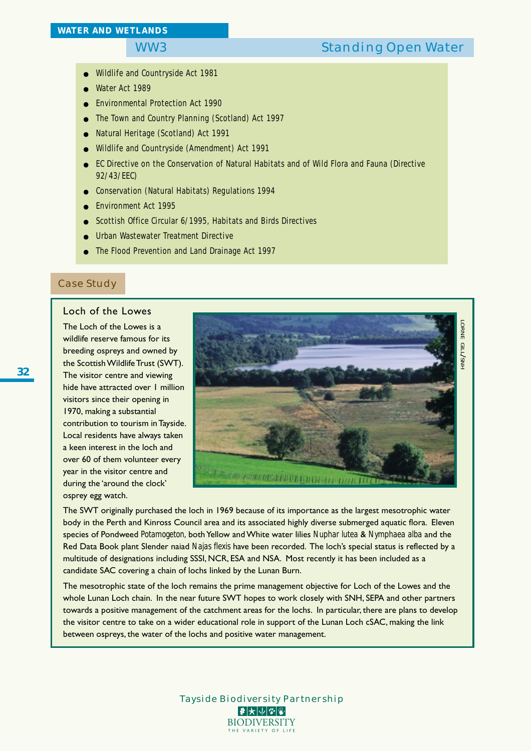# WW3 Standing Open Water

- Wildlife and Countryside Act 1981
- Water Act 1989
- Environmental Protection Act 1990
- The Town and Country Planning (Scotland) Act 1997
- Natural Heritage (Scotland) Act 1991
- Wildlife and Countryside (Amendment) Act 1991
- EC Directive on the Conservation of Natural Habitats and of Wild Flora and Fauna (Directive 92/43/EEC)
- Conservation (Natural Habitats) Regulations 1994
- Environment Act 1995
- Scottish Office Circular 6/1995, Habitats and Birds Directives
- Urban Wastewater Treatment Directive
- The Flood Prevention and Land Drainage Act 1997

### Case Study

### Loch of the Lowes

The Loch of the Lowes is a wildlife reserve famous for its breeding ospreys and owned by the Scottish Wildlife Trust (SWT). The visitor centre and viewing hide have attracted over 1 million visitors since their opening in 1970, making a substantial contribution to tourism in Tayside. Local residents have always taken a keen interest in the loch and over 60 of them volunteer every year in the visitor centre and during the 'around the clock' osprey egg watch.



The SWT originally purchased the loch in 1969 because of its importance as the largest mesotrophic water body in the Perth and Kinross Council area and its associated highly diverse submerged aquatic flora. Eleven species of Pondweed *Potamogeton,* both Yellow and White water lilies *Nuphar lutea* & *Nymphaea alba* and the Red Data Book plant Slender naiad *Najas flexis* have been recorded. The loch's special status is reflected by a multitude of designations including SSSI, NCR, ESA and NSA. Most recently it has been included as a candidate SAC covering a chain of lochs linked by the Lunan Burn.

The mesotrophic state of the loch remains the prime management objective for Loch of the Lowes and the whole Lunan Loch chain. In the near future SWT hopes to work closely with SNH, SEPA and other partners towards a positive management of the catchment areas for the lochs. In particular, there are plans to develop the visitor centre to take on a wider educational role in support of the Lunan Loch cSAC, making the link between ospreys, the water of the lochs and positive water management.

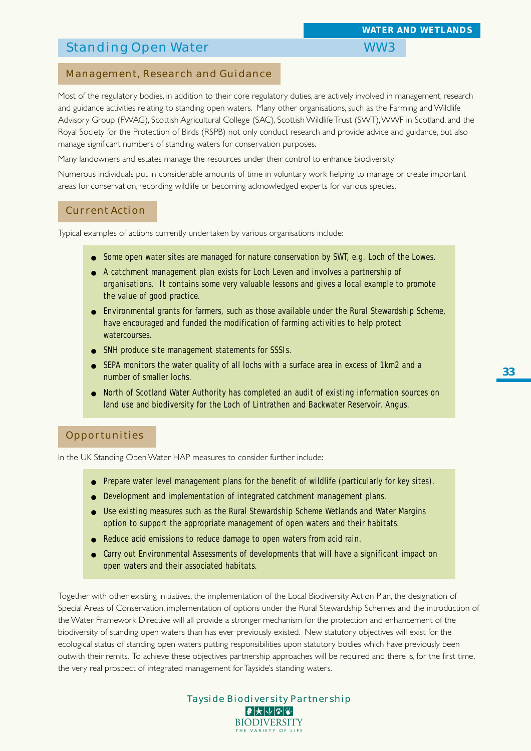# Standing Open Water WW3

# Management, Research and Guidance

Most of the regulatory bodies, in addition to their core regulatory duties, are actively involved in management, research and guidance activities relating to standing open waters. Many other organisations, such as the Farming and Wildlife Advisory Group (FWAG), Scottish Agricultural College (SAC), Scottish Wildlife Trust (SWT), WWF in Scotland, and the Royal Society for the Protection of Birds (RSPB) not only conduct research and provide advice and guidance, but also manage significant numbers of standing waters for conservation purposes.

Many landowners and estates manage the resources under their control to enhance biodiversity.

Numerous individuals put in considerable amounts of time in voluntary work helping to manage or create important areas for conservation, recording wildlife or becoming acknowledged experts for various species.

## Current Action

Typical examples of actions currently undertaken by various organisations include:

- Some open water sites are managed for nature conservation by SWT, e.g. Loch of the Lowes.
- A catchment management plan exists for Loch Leven and involves a partnership of organisations. It contains some very valuable lessons and gives a local example to promote the value of good practice.
- Environmental grants for farmers, such as those available under the Rural Stewardship Scheme, have encouraged and funded the modification of farming activities to help protect watercourses.
- SNH produce site management statements for SSSIs.
- SEPA monitors the water quality of all lochs with a surface area in excess of 1km2 and a number of smaller lochs.
- North of Scotland Water Authority has completed an audit of existing information sources on land use and biodiversity for the Loch of Lintrathen and Backwater Reservoir, Angus.

### **Opportunities**

In the UK Standing Open Water HAP measures to consider further include:

- Prepare water level management plans for the benefit of wildlife (particularly for key sites).
- Development and implementation of integrated catchment management plans.
- Use existing measures such as the Rural Stewardship Scheme Wetlands and Water Margins option to support the appropriate management of open waters and their habitats.
- Reduce acid emissions to reduce damage to open waters from acid rain.
- Carry out Environmental Assessments of developments that will have a significant impact on open waters and their associated habitats.

Together with other existing initiatives, the implementation of the Local Biodiversity Action Plan, the designation of Special Areas of Conservation, implementation of options under the Rural Stewardship Schemes and the introduction of the Water Framework Directive will all provide a stronger mechanism for the protection and enhancement of the biodiversity of standing open waters than has ever previously existed. New statutory objectives will exist for the ecological status of standing open waters putting responsibilities upon statutory bodies which have previously been outwith their remits. To achieve these objectives partnership approaches will be required and there is, for the first time, the very real prospect of integrated management for Tayside's standing waters.

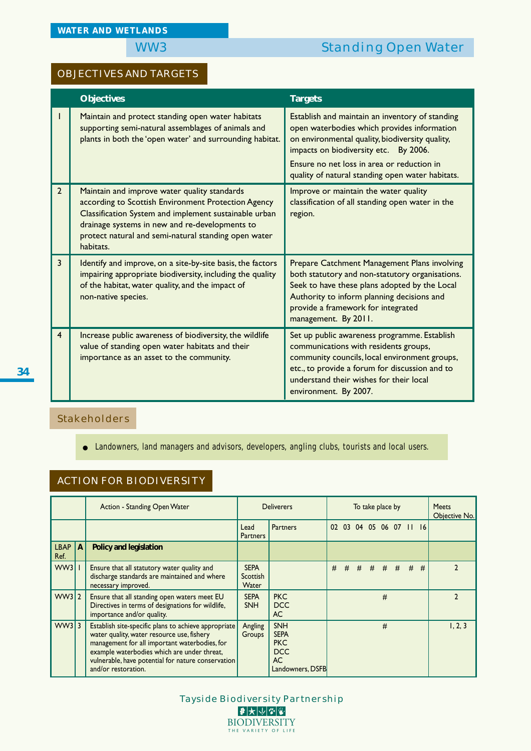# OBJECTIVES AND TARGETS

|                | <b>Objectives</b>                                                                                                                                                                                                                                                                   | <b>Targets</b>                                                                                                                                                                                                                                                                               |
|----------------|-------------------------------------------------------------------------------------------------------------------------------------------------------------------------------------------------------------------------------------------------------------------------------------|----------------------------------------------------------------------------------------------------------------------------------------------------------------------------------------------------------------------------------------------------------------------------------------------|
|                | Maintain and protect standing open water habitats<br>supporting semi-natural assemblages of animals and<br>plants in both the 'open water' and surrounding habitat.                                                                                                                 | Establish and maintain an inventory of standing<br>open waterbodies which provides information<br>on environmental quality, biodiversity quality,<br>impacts on biodiversity etc. By 2006.<br>Ensure no net loss in area or reduction in<br>quality of natural standing open water habitats. |
| $\overline{2}$ | Maintain and improve water quality standards<br>according to Scottish Environment Protection Agency<br>Classification System and implement sustainable urban<br>drainage systems in new and re-developments to<br>protect natural and semi-natural standing open water<br>habitats. | Improve or maintain the water quality<br>classification of all standing open water in the<br>region.                                                                                                                                                                                         |
| 3              | Identify and improve, on a site-by-site basis, the factors<br>impairing appropriate biodiversity, including the quality<br>of the habitat, water quality, and the impact of<br>non-native species.                                                                                  | Prepare Catchment Management Plans involving<br>both statutory and non-statutory organisations.<br>Seek to have these plans adopted by the Local<br>Authority to inform planning decisions and<br>provide a framework for integrated<br>management. By 2011.                                 |
| $\overline{4}$ | Increase public awareness of biodiversity, the wildlife<br>value of standing open water habitats and their<br>importance as an asset to the community.                                                                                                                              | Set up public awareness programme. Establish<br>communications with residents groups,<br>community councils, local environment groups,<br>etc., to provide a forum for discussion and to<br>understand their wishes for their local<br>environment. By 2007.                                 |

# Stakeholders

● Landowners, land managers and advisors, developers, angling clubs, tourists and local users.

# ACTION FOR BIODIVERSITY

|              |              | Action - Standing Open Water                                                                                                                                                                                                                                                    |                                  | <b>Deliverers</b>                                                                      |   | To take place by |         |  |   | <b>Meets</b><br>Objective No. |   |   |         |
|--------------|--------------|---------------------------------------------------------------------------------------------------------------------------------------------------------------------------------------------------------------------------------------------------------------------------------|----------------------------------|----------------------------------------------------------------------------------------|---|------------------|---------|--|---|-------------------------------|---|---|---------|
|              |              |                                                                                                                                                                                                                                                                                 | Lead<br><b>Partners</b>          | <b>Partners</b>                                                                        |   |                  |         |  |   | 02 03 04 05 06 07 11 16       |   |   |         |
| LBAP<br>Ref. | $\mathbf{A}$ | Policy and legislation                                                                                                                                                                                                                                                          |                                  |                                                                                        |   |                  |         |  |   |                               |   |   |         |
| WW3          |              | Ensure that all statutory water quality and<br>discharge standards are maintained and where<br>necessary improved.                                                                                                                                                              | <b>SEPA</b><br>Scottish<br>Water |                                                                                        | # | #                | # # # # |  |   |                               | # | # |         |
| WW3 2        |              | Ensure that all standing open waters meet EU<br>Directives in terms of designations for wildlife,<br>importance and/or quality.                                                                                                                                                 | <b>SEPA</b><br><b>SNH</b>        | <b>PKC</b><br><b>DCC</b><br>AC.                                                        |   |                  |         |  | # |                               |   |   |         |
| WW33         |              | Establish site-specific plans to achieve appropriate<br>water quality, water resource use, fishery<br>management for all important waterbodies, for<br>example waterbodies which are under threat,<br>vulnerable, have potential for nature conservation<br>and/or restoration. | Angling<br>Groups                | <b>SNH</b><br><b>SEPA</b><br><b>PKC</b><br><b>DCC</b><br><b>AC</b><br>Landowners, DSFB |   |                  |         |  | # |                               |   |   | 1, 2, 3 |

Tayside Biodiversity Partnership 2大小空图 **BIODIVERSITY** THE VARIETY OF LIFE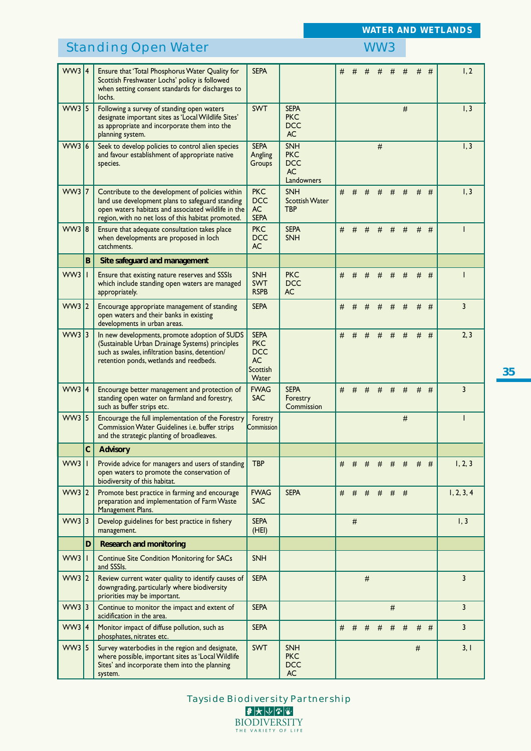# Standing Open Water WW3

*WATER AND WETLANDS*

|          |   | 5.0011<br>$\sim$ possible of                                                                                                                                                                                      |                                                                           |                                                                   |   |       |   |   |   |      |   |       |                |
|----------|---|-------------------------------------------------------------------------------------------------------------------------------------------------------------------------------------------------------------------|---------------------------------------------------------------------------|-------------------------------------------------------------------|---|-------|---|---|---|------|---|-------|----------------|
| WW3 4    |   | Ensure that 'Total Phosphorus Water Quality for<br>Scottish Freshwater Lochs' policy is followed<br>when setting consent standards for discharges to<br>lochs.                                                    | <b>SEPA</b>                                                               |                                                                   | # |       |   |   |   | #    | # | #     | 1, 2           |
| $WW3$ 5  |   | Following a survey of standing open waters<br>designate important sites as 'Local Wildlife Sites'<br>as appropriate and incorporate them into the<br>planning system.                                             | <b>SWT</b>                                                                | <b>SEPA</b><br><b>PKC</b><br><b>DCC</b><br>AC                     |   |       |   |   |   | #    |   |       | I, 3           |
| WW3 6    |   | Seek to develop policies to control alien species<br>and favour establishment of appropriate native<br>species.                                                                                                   | <b>SEPA</b><br>Angling<br>Groups                                          | <b>SNH</b><br><b>PKC</b><br><b>DCC</b><br><b>AC</b><br>Landowners |   |       |   | # |   |      |   |       | 1, 3           |
| $WW3$  7 |   | Contribute to the development of policies within<br>land use development plans to safeguard standing<br>open waters habitats and associated wildlife in the<br>region, with no net loss of this habitat promoted. | <b>PKC</b><br><b>DCC</b><br><b>AC</b><br><b>SEPA</b>                      | <b>SNH</b><br><b>Scottish Water</b><br><b>TBP</b>                 | # | #     | # | # | # | #    | # | #     | 1, 3           |
| WW3 8    |   | Ensure that adequate consultation takes place<br>when developments are proposed in loch<br>catchments.                                                                                                            | <b>PKC</b><br><b>DCC</b><br>AC.                                           | <b>SEPA</b><br><b>SNH</b>                                         | # | #     | # | # | # | #    |   | $#$ # |                |
|          | B | Site safeguard and management                                                                                                                                                                                     |                                                                           |                                                                   |   |       |   |   |   |      |   |       |                |
| $WW3$    |   | Ensure that existing nature reserves and SSSIs<br>which include standing open waters are managed<br>appropriately.                                                                                                | <b>SNH</b><br><b>SWT</b><br><b>RSPB</b>                                   | <b>PKC</b><br><b>DCC</b><br>АC                                    | # | #     | # | # | # | #    |   | $#$ # | L              |
| WW3 2    |   | Encourage appropriate management of standing<br>open waters and their banks in existing<br>developments in urban areas.                                                                                           | <b>SEPA</b>                                                               |                                                                   | # | #     | # | # | # | #    |   | $#$ # | 3              |
| WW3 3    |   | In new developments, promote adoption of SUDS<br>(Sustainable Urban Drainage Systems) principles<br>such as swales, infiltration basins, detention/<br>retention ponds, wetlands and reedbeds.                    | <b>SEPA</b><br><b>PKC</b><br><b>DCC</b><br><b>AC</b><br>Scottish<br>Water |                                                                   | # | #     | # | # | # | #    |   | $#$ # | 2, 3           |
| WW3 4    |   | Encourage better management and protection of<br>standing open water on farmland and forestry,<br>such as buffer strips etc.                                                                                      | <b>FWAG</b><br><b>SAC</b>                                                 | <b>SEPA</b><br>Forestry<br>Commission                             | # | #     | # | # | # | #    |   | $#$ # | 3              |
| WW3 $ 5$ |   | Encourage the full implementation of the Forestry<br>Commission Water Guidelines i.e. buffer strips<br>and the strategic planting of broadleaves.                                                                 | Forestry<br>Commission                                                    |                                                                   |   |       |   |   |   | $\#$ |   |       |                |
|          | C | <b>Advisory</b>                                                                                                                                                                                                   |                                                                           |                                                                   |   |       |   |   |   |      |   |       |                |
| WW3      |   | Provide advice for managers and users of standing<br>open waters to promote the conservation of<br>biodiversity of this habitat.                                                                                  | <b>TBP</b>                                                                |                                                                   | # | #     | # | # | # | #    |   | $#$ # | 1, 2, 3        |
| WW3 2    |   | Promote best practice in farming and encourage<br>preparation and implementation of Farm Waste<br>Management Plans.                                                                                               | <b>FWAG</b><br><b>SAC</b>                                                 | <b>SEPA</b>                                                       | # | $#$ # |   | # | # | #    |   |       | 1, 2, 3, 4     |
| WW3 3    |   | Develop guidelines for best practice in fishery<br>management.                                                                                                                                                    | <b>SEPA</b><br>(HEI)                                                      |                                                                   |   | $\#$  |   |   |   |      |   |       | 1, 3           |
|          | D | <b>Research and monitoring</b>                                                                                                                                                                                    |                                                                           |                                                                   |   |       |   |   |   |      |   |       |                |
| WW3      | T | <b>Continue Site Condition Monitoring for SACs</b><br>and SSSIs.                                                                                                                                                  | <b>SNH</b>                                                                |                                                                   |   |       |   |   |   |      |   |       |                |
| WW3 2    |   | Review current water quality to identify causes of<br>downgrading, particularly where biodiversity<br>priorities may be important.                                                                                | <b>SEPA</b>                                                               |                                                                   |   |       | # |   |   |      |   |       | 3              |
| WW3 3    |   | Continue to monitor the impact and extent of<br>acidification in the area.                                                                                                                                        | <b>SEPA</b>                                                               |                                                                   |   |       |   |   | # |      |   |       | $\overline{3}$ |
| WW3 4    |   | Monitor impact of diffuse pollution, such as<br>phosphates, nitrates etc.                                                                                                                                         | <b>SEPA</b>                                                               |                                                                   | # | #     | # | # | # | #    | # | #     | $\overline{3}$ |
| WW3 5    |   | Survey waterbodies in the region and designate,<br>where possible, important sites as 'Local Wildlife<br>Sites' and incorporate them into the planning<br>system.                                                 | <b>SWT</b>                                                                | <b>SNH</b><br><b>PKC</b><br><b>DCC</b><br><b>AC</b>               |   |       |   |   |   |      | # |       | 3,1            |
|          |   |                                                                                                                                                                                                                   |                                                                           |                                                                   |   |       |   |   |   |      |   |       |                |

**35**